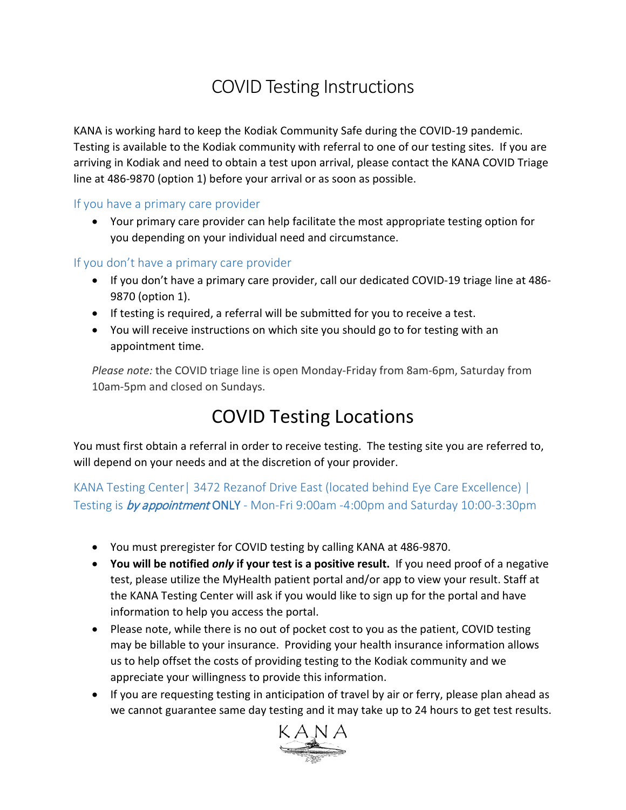## COVID Testing Instructions

KANA is working hard to keep the Kodiak Community Safe during the COVID-19 pandemic. Testing is available to the Kodiak community with referral to one of our testing sites. If you are arriving in Kodiak and need to obtain a test upon arrival, please contact the KANA COVID Triage line at 486-9870 (option 1) before your arrival or as soon as possible.

#### If you have a primary care provider

• Your primary care provider can help facilitate the most appropriate testing option for you depending on your individual need and circumstance.

#### If you don't have a primary care provider

- If you don't have a primary care provider, call our dedicated COVID-19 triage line at 486- 9870 (option 1).
- If testing is required, a referral will be submitted for you to receive a test.
- You will receive instructions on which site you should go to for testing with an appointment time.

*Please note:* the COVID triage line is open Monday-Friday from 8am-6pm, Saturday from 10am-5pm and closed on Sundays.

### COVID Testing Locations

You must first obtain a referral in order to receive testing. The testing site you are referred to, will depend on your needs and at the discretion of your provider.

KANA Testing Center| 3472 Rezanof Drive East (located behind Eye Care Excellence) | Testing is **by appointment ONLY** - Mon-Fri 9:00am -4:00pm and Saturday 10:00-3:30pm

- You must preregister for COVID testing by calling KANA at 486-9870.
- **You will be notified** *only* **if your test is a positive result.** If you need proof of a negative test, please utilize the MyHealth patient portal and/or app to view your result. Staff at the KANA Testing Center will ask if you would like to sign up for the portal and have information to help you access the portal.
- Please note, while there is no out of pocket cost to you as the patient, COVID testing may be billable to your insurance. Providing your health insurance information allows us to help offset the costs of providing testing to the Kodiak community and we appreciate your willingness to provide this information.
- If you are requesting testing in anticipation of travel by air or ferry, please plan ahead as we cannot guarantee same day testing and it may take up to 24 hours to get test results.